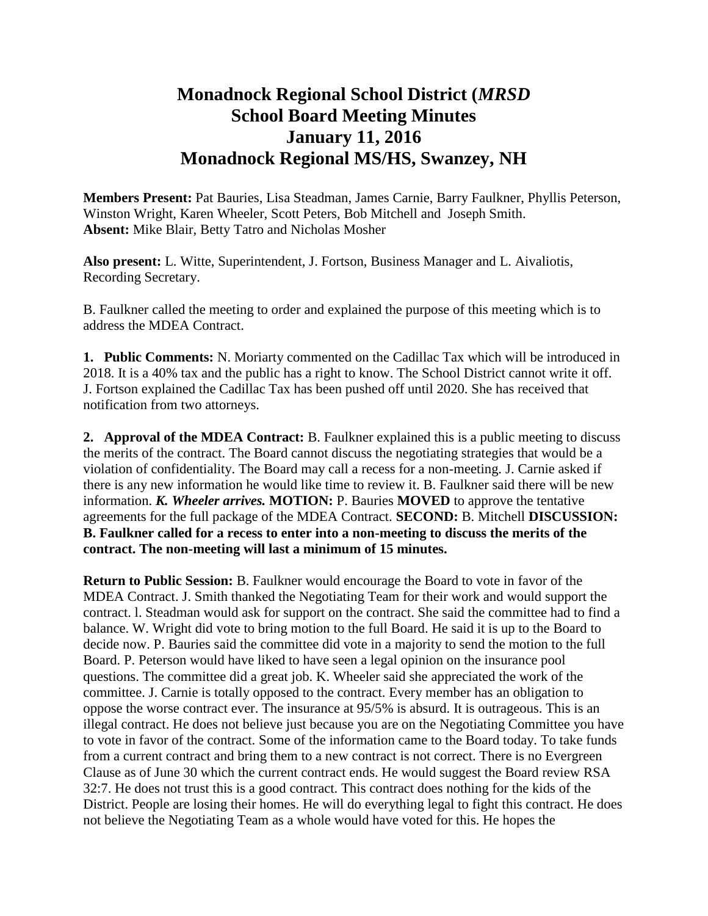## **Monadnock Regional School District (***MRSD* **School Board Meeting Minutes January 11, 2016 Monadnock Regional MS/HS, Swanzey, NH**

**Members Present:** Pat Bauries, Lisa Steadman, James Carnie, Barry Faulkner, Phyllis Peterson, Winston Wright, Karen Wheeler, Scott Peters, Bob Mitchell and Joseph Smith. **Absent:** Mike Blair, Betty Tatro and Nicholas Mosher

**Also present:** L. Witte, Superintendent, J. Fortson, Business Manager and L. Aivaliotis, Recording Secretary.

B. Faulkner called the meeting to order and explained the purpose of this meeting which is to address the MDEA Contract.

**1. Public Comments:** N. Moriarty commented on the Cadillac Tax which will be introduced in 2018. It is a 40% tax and the public has a right to know. The School District cannot write it off. J. Fortson explained the Cadillac Tax has been pushed off until 2020. She has received that notification from two attorneys.

**2. Approval of the MDEA Contract:** B. Faulkner explained this is a public meeting to discuss the merits of the contract. The Board cannot discuss the negotiating strategies that would be a violation of confidentiality. The Board may call a recess for a non-meeting. J. Carnie asked if there is any new information he would like time to review it. B. Faulkner said there will be new information. *K. Wheeler arrives.* **MOTION:** P. Bauries **MOVED** to approve the tentative agreements for the full package of the MDEA Contract. **SECOND:** B. Mitchell **DISCUSSION: B. Faulkner called for a recess to enter into a non-meeting to discuss the merits of the contract. The non-meeting will last a minimum of 15 minutes.** 

**Return to Public Session:** B. Faulkner would encourage the Board to vote in favor of the MDEA Contract. J. Smith thanked the Negotiating Team for their work and would support the contract. l. Steadman would ask for support on the contract. She said the committee had to find a balance. W. Wright did vote to bring motion to the full Board. He said it is up to the Board to decide now. P. Bauries said the committee did vote in a majority to send the motion to the full Board. P. Peterson would have liked to have seen a legal opinion on the insurance pool questions. The committee did a great job. K. Wheeler said she appreciated the work of the committee. J. Carnie is totally opposed to the contract. Every member has an obligation to oppose the worse contract ever. The insurance at 95/5% is absurd. It is outrageous. This is an illegal contract. He does not believe just because you are on the Negotiating Committee you have to vote in favor of the contract. Some of the information came to the Board today. To take funds from a current contract and bring them to a new contract is not correct. There is no Evergreen Clause as of June 30 which the current contract ends. He would suggest the Board review RSA 32:7. He does not trust this is a good contract. This contract does nothing for the kids of the District. People are losing their homes. He will do everything legal to fight this contract. He does not believe the Negotiating Team as a whole would have voted for this. He hopes the